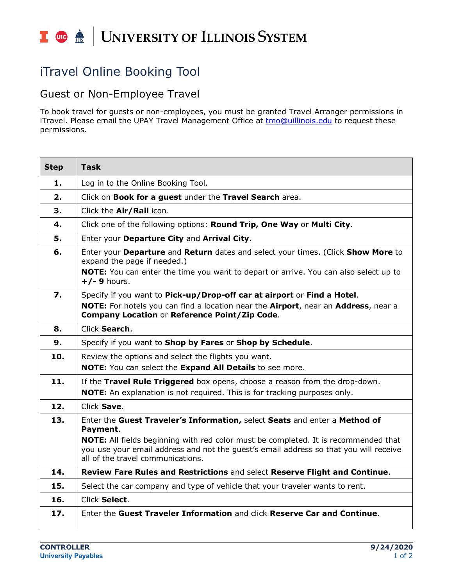## I **O**  $\triangleq$  | UNIVERSITY OF ILLINOIS SYSTEM

## iTravel Online Booking Tool

## Guest or Non-Employee Travel

 To book travel for guests or non-employees, you must be granted Travel Arranger permissions in iTravel. Please email the UPAY Travel Management Office at <u>tmo@uillinois.edu</u> to request these permissions.

| <b>Step</b> | <b>Task</b>                                                                                                                                                                                                              |
|-------------|--------------------------------------------------------------------------------------------------------------------------------------------------------------------------------------------------------------------------|
| 1.          | Log in to the Online Booking Tool.                                                                                                                                                                                       |
| 2.          | Click on Book for a guest under the Travel Search area.                                                                                                                                                                  |
| 3.          | Click the Air/Rail icon.                                                                                                                                                                                                 |
| 4.          | Click one of the following options: Round Trip, One Way or Multi City.                                                                                                                                                   |
| 5.          | Enter your Departure City and Arrival City.                                                                                                                                                                              |
| 6.          | Enter your Departure and Return dates and select your times. (Click Show More to<br>expand the page if needed.)                                                                                                          |
|             | <b>NOTE:</b> You can enter the time you want to depart or arrive. You can also select up to<br>$+/-$ 9 hours.                                                                                                            |
| 7.          | Specify if you want to Pick-up/Drop-off car at airport or Find a Hotel.                                                                                                                                                  |
|             | NOTE: For hotels you can find a location near the Airport, near an Address, near a<br>Company Location or Reference Point/Zip Code.                                                                                      |
| 8.          | Click Search.                                                                                                                                                                                                            |
| 9.          | Specify if you want to Shop by Fares or Shop by Schedule.                                                                                                                                                                |
| 10.         | Review the options and select the flights you want.                                                                                                                                                                      |
|             | NOTE: You can select the Expand All Details to see more.                                                                                                                                                                 |
| 11.         | If the Travel Rule Triggered box opens, choose a reason from the drop-down.<br>NOTE: An explanation is not required. This is for tracking purposes only.                                                                 |
| 12.         | Click Save.                                                                                                                                                                                                              |
| 13.         | Enter the Guest Traveler's Information, select Seats and enter a Method of<br>Payment.                                                                                                                                   |
|             | <b>NOTE:</b> All fields beginning with red color must be completed. It is recommended that<br>you use your email address and not the guest's email address so that you will receive<br>all of the travel communications. |
| 14.         | Review Fare Rules and Restrictions and select Reserve Flight and Continue.                                                                                                                                               |
| 15.         | Select the car company and type of vehicle that your traveler wants to rent.                                                                                                                                             |
| 16.         | Click Select.                                                                                                                                                                                                            |
| 17.         | Enter the Guest Traveler Information and click Reserve Car and Continue.                                                                                                                                                 |